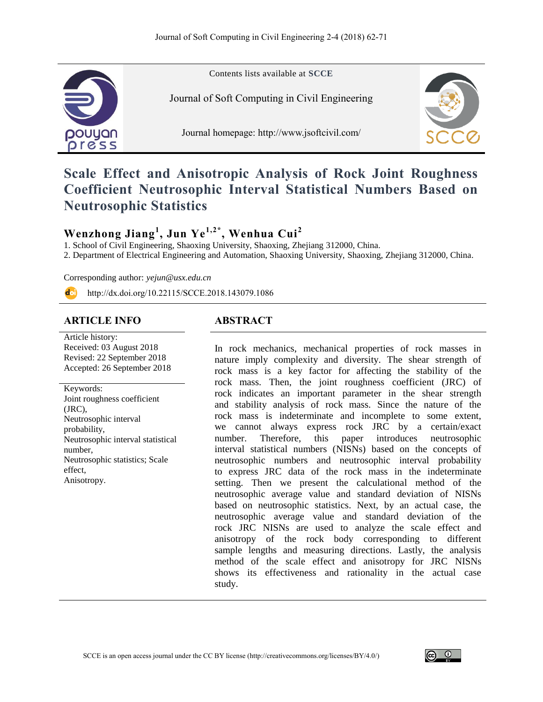

Contents lists available at **SCCE**

Journal of Soft Computing in Civil Engineering

Journal homepage:<http://www.jsoftcivil.com/>



# **Scale Effect and Anisotropic Analysis of Rock Joint Roughness Coefficient Neutrosophic Interval Statistical Numbers Based on Neutrosophic Statistics**

## **Wenzhong Jiang<sup>1</sup> , Jun Ye1,2\*, Wenhua Cui<sup>2</sup>**

1. School of Civil Engineering, Shaoxing University, Shaoxing, Zhejiang 312000, China.

2. Department of Electrical Engineering and Automation, Shaoxing University, Shaoxing, Zhejiang 312000, China.

Corresponding author: *yejun@usx.edu.cn*

http://dx.doi.org/10.22115/SCCE.2018.143079.1086

## **ARTICLE INFO ABSTRACT**

Article history: Received: 03 August 2018 Revised: 22 September 2018 Accepted: 26 September 2018

Keywords: Joint roughness coefficient (JRC), Neutrosophic interval probability, Neutrosophic interval statistical number, Neutrosophic statistics; Scale effect, Anisotropy.

In rock mechanics, mechanical properties of rock masses in nature imply complexity and diversity. The shear strength of rock mass is a key factor for affecting the stability of the rock mass. Then, the joint roughness coefficient (JRC) of rock indicates an important parameter in the shear strength and stability analysis of rock mass. Since the nature of the rock mass is indeterminate and incomplete to some extent, we cannot always express rock JRC by a certain/exact number. Therefore, this paper introduces neutrosophic interval statistical numbers (NISNs) based on the concepts of neutrosophic numbers and neutrosophic interval probability to express JRC data of the rock mass in the indeterminate setting. Then we present the calculational method of the neutrosophic average value and standard deviation of NISNs based on neutrosophic statistics. Next, by an actual case, the neutrosophic average value and standard deviation of the rock JRC NISNs are used to analyze the scale effect and anisotropy of the rock body corresponding to different sample lengths and measuring directions. Lastly, the analysis method of the scale effect and anisotropy for JRC NISNs shows its effectiveness and rationality in the actual case study.

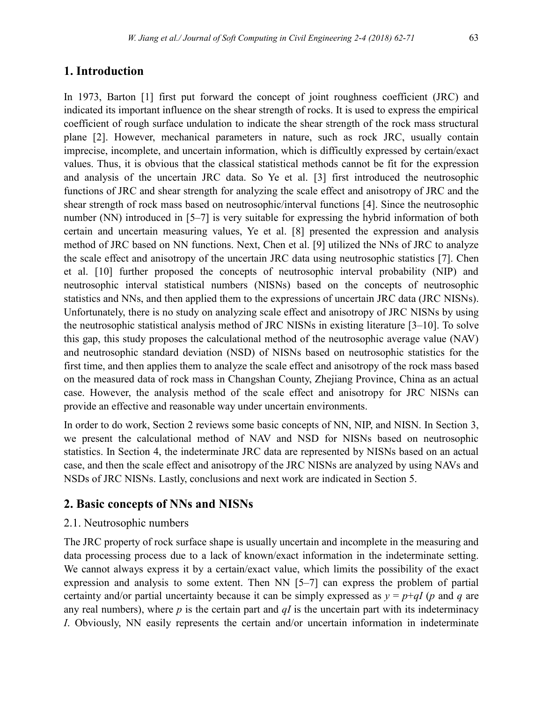### **1. Introduction**

In 1973, Barton [1] first put forward the concept of joint roughness coefficient (JRC) and indicated its important influence on the shear strength of rocks. It is used to express the empirical coefficient of rough surface undulation to indicate the shear strength of the rock mass structural plane [2]. However, mechanical parameters in nature, such as rock JRC, usually contain imprecise, incomplete, and uncertain information, which is difficultly expressed by certain/exact values. Thus, it is obvious that the classical statistical methods cannot be fit for the expression and analysis of the uncertain JRC data. So Ye et al. [3] first introduced the neutrosophic functions of JRC and shear strength for analyzing the scale effect and anisotropy of JRC and the shear strength of rock mass based on neutrosophic/interval functions [4]. Since the neutrosophic number (NN) introduced in [5–7] is very suitable for expressing the hybrid information of both certain and uncertain measuring values, Ye et al. [8] presented the expression and analysis method of JRC based on NN functions. Next, Chen et al. [9] utilized the NNs of JRC to analyze the scale effect and anisotropy of the uncertain JRC data using neutrosophic statistics [7]. Chen et al. [10] further proposed the concepts of neutrosophic interval probability (NIP) and neutrosophic interval statistical numbers (NISNs) based on the concepts of neutrosophic statistics and NNs, and then applied them to the expressions of uncertain JRC data (JRC NISNs). Unfortunately, there is no study on analyzing scale effect and anisotropy of JRC NISNs by using the neutrosophic statistical analysis method of JRC NISNs in existing literature [3–10]. To solve this gap, this study proposes the calculational method of the neutrosophic average value (NAV) and neutrosophic standard deviation (NSD) of NISNs based on neutrosophic statistics for the first time, and then applies them to analyze the scale effect and anisotropy of the rock mass based on the measured data of rock mass in Changshan County, Zhejiang Province, China as an actual case. However, the analysis method of the scale effect and anisotropy for JRC NISNs can provide an effective and reasonable way under uncertain environments.

In order to do work, Section 2 reviews some basic concepts of NN, NIP, and NISN. In Section 3, we present the calculational method of NAV and NSD for NISNs based on neutrosophic statistics. In Section 4, the indeterminate JRC data are represented by NISNs based on an actual case, and then the scale effect and anisotropy of the JRC NISNs are analyzed by using NAVs and NSDs of JRC NISNs. Lastly, conclusions and next work are indicated in Section 5.

### **2. Basic concepts of NNs and NISNs**

#### 2.1. Neutrosophic numbers

The JRC property of rock surface shape is usually uncertain and incomplete in the measuring and data processing process due to a lack of known/exact information in the indeterminate setting. We cannot always express it by a certain/exact value, which limits the possibility of the exact expression and analysis to some extent. Then NN [5–7] can express the problem of partial certainty and/or partial uncertainty because it can be simply expressed as  $y = p + qI$  (*p* and *q* are any real numbers), where  $p$  is the certain part and  $qI$  is the uncertain part with its indeterminacy *I*. Obviously, NN easily represents the certain and/or uncertain information in indeterminate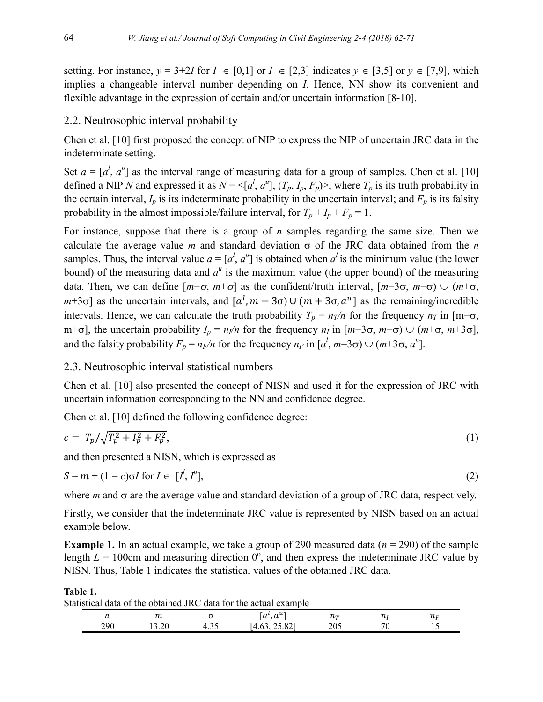setting. For instance,  $y = 3+2I$  for  $I \in [0,1]$  or  $I \in [2,3]$  indicates  $y \in [3,5]$  or  $y \in [7,9]$ , which implies a changeable interval number depending on *I*. Hence, NN show its convenient and flexible advantage in the expression of certain and/or uncertain information [8-10].

#### 2.2. Neutrosophic interval probability

Chen et al. [10] first proposed the concept of NIP to express the NIP of uncertain JRC data in the indeterminate setting.

Set  $a = [a^l, a^u]$  as the interval range of measuring data for a group of samples. Chen et al. [10] defined a NIP *N* and expressed it as  $N = \langle [a^l, a^u], (T_p, I_p, F_p) \rangle$ , where  $T_p$  is its truth probability in the certain interval,  $I_p$  is its indeterminate probability in the uncertain interval; and  $F_p$  is its falsity probability in the almost impossible/failure interval, for  $T_p + I_p + F_p = 1$ .

For instance, suppose that there is a group of *n* samples regarding the same size. Then we calculate the average value *m* and standard deviation  $\sigma$  of the JRC data obtained from the *n* samples. Thus, the interval value  $a = [a^l, a^u]$  is obtained when  $a^l$  is the minimum value (the lower bound) of the measuring data and  $a^u$  is the maximum value (the upper bound) of the measuring data. Then, we can define  $[m-\sigma, m+\sigma]$  as the confident/truth interval,  $[m-3\sigma, m-\sigma) \cup (m+\sigma,$  $(m+3\sigma)$  as the uncertain intervals, and  $[a^l, m-3\sigma) \cup (m+3\sigma, a^u]$  as the remaining/incredible intervals. Hence, we can calculate the truth probability  $T_p = n_T/n$  for the frequency  $n_T$  in [m- $\sigma$ ,  $m+\sigma$ ], the uncertain probability  $I_p = n_l/n$  for the frequency  $n_l$  in  $[m-3\sigma, m-\sigma) \cup (m+\sigma, m+3\sigma]$ , and the falsity probability  $F_p = n_F/n$  for the frequency  $n_F$  in  $[a^l, m-3\sigma) \cup (m+3\sigma, a^u]$ .

#### 2.3. Neutrosophic interval statistical numbers

Chen et al. [10] also presented the concept of NISN and used it for the expression of JRC with uncertain information corresponding to the NN and confidence degree.

Chen et al. [10] defined the following confidence degree:

$$
c = T_p / \sqrt{T_p^2 + I_p^2 + F_p^2},\tag{1}
$$

and then presented a NISN, which is expressed as

$$
S = m + (1 - c)\sigma I \text{ for } I \in [I^l, I^u],\tag{2}
$$

where  $m$  and  $\sigma$  are the average value and standard deviation of a group of JRC data, respectively.

Firstly, we consider that the indeterminate JRC value is represented by NISN based on an actual example below.

**Example 1.** In an actual example, we take a group of 290 measured data (*n* = 290) of the sample length  $L = 100$ cm and measuring direction  $0^{\circ}$ , and then express the indeterminate JRC value by NISN. Thus, Table 1 indicates the statistical values of the obtained JRC data.

Statistical data of the obtained JRC data for the actual example

**Table 1.**

|           | $\sim$<br>$\overline{11}$                                | $\sim$<br>~ "<br>$\mu$<br>u                         | $\sim$              | .   |
|-----------|----------------------------------------------------------|-----------------------------------------------------|---------------------|-----|
| າດເ<br>-- | $\overline{\phantom{a}}$<br>∼.<br>$\cdot$ $\sim$ $\circ$ | 0.27<br>$\overline{a}$ . $\overline{a}$<br>$\cdots$ | $\mathbf{A}$<br>∠∪~ | . . |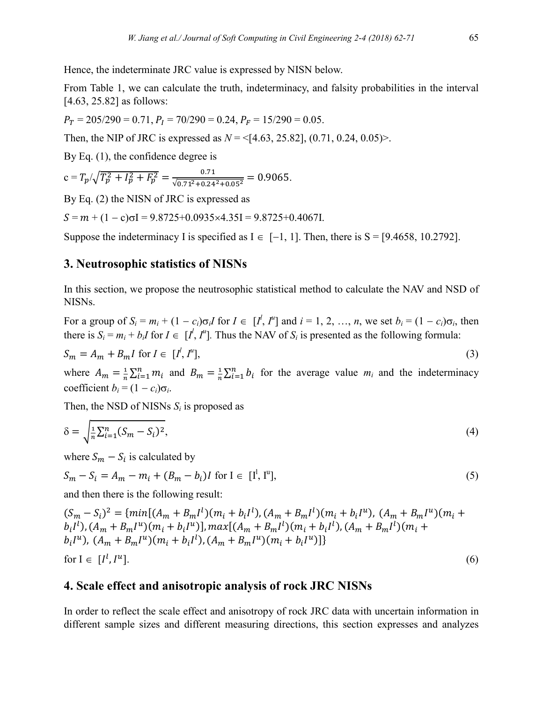Hence, the indeterminate JRC value is expressed by NISN below.

From Table 1, we can calculate the truth, indeterminacy, and falsity probabilities in the interval [4.63, 25.82] as follows:

$$
P_T = 205/290 = 0.71
$$
,  $P_I = 70/290 = 0.24$ ,  $P_F = 15/290 = 0.05$ .

Then, the NIP of JRC is expressed as  $N = \{4.63, 25.82\}, (0.71, 0.24, 0.05)$ .

By Eq.  $(1)$ , the confidence degree is

$$
c = T_p / \sqrt{T_p^2 + I_p^2 + F_p^2} = \frac{0.71}{\sqrt{0.71^2 + 0.24^2 + 0.05^2}} = 0.9065.
$$

By Eq. (2) the NISN of JRC is expressed as

 $S = m + (1 - c)\sigma I = 9.8725 + 0.0935 \times 4.35I = 9.8725 + 0.4067I$ .

Suppose the indeterminacy I is specified as  $I \in [-1, 1]$ . Then, there is S = [9.4658, 10.2792].

#### **3. Neutrosophic statistics of NISNs**

In this section, we propose the neutrosophic statistical method to calculate the NAV and NSD of NISNs.

For a group of  $S_i = m_i + (1 - c_i)\sigma_i I$  for  $I \in [I^l, I^u]$  and  $i = 1, 2, ..., n$ , we set  $b_i = (1 - c_i)\sigma_i$ , then there is  $S_i = m_i + b_i I$  for  $I \in [I^l, I^u]$ . Thus the NAV of  $S_i$  is presented as the following formula:

$$
S_m = A_m + B_m I \text{ for } I \in [I^l, I^u],\tag{3}
$$

where  $A_m = \frac{1}{n}$  $\frac{1}{n}\sum_{i=1}^{n}m_i$  and  $B_m=\frac{1}{n}$  $\frac{1}{n}\sum_{i=1}^{n} b_i$  for the average value  $m_i$  and the indeterminacy coefficient  $b_i = (1 - c_i)\sigma_i$ .

Then, the NSD of NISNs  $S_i$  is proposed as

$$
\delta = \sqrt{\frac{1}{n} \sum_{i=1}^{n} (S_m - S_i)^2},\tag{4}
$$

where  $S_m - S_i$  is calculated by

$$
S_m - S_i = A_m - m_i + (B_m - b_i)I \text{ for } I \in [I^l, I^u],
$$
\n(5)

and then there is the following result:

$$
(S_m - S_i)^2 = \{ \min[(A_m + B_m l^l)(m_i + b_i l^l), (A_m + B_m l^l)(m_i + b_i l^u), (A_m + B_m l^u)(m_i + b_i l^l), (A_m + B_m l^u)(m_i + b_i l^u)] \} \\ [A_m + B_m l^u)(m_i + b_i l^u), (A_m + B_m l^u)(m_i + b_i l^l), (A_m + B_m l^u)(m_i + b_i l^u)] \} \\ \text{for } I \in [I^l, I^u]. \tag{6}
$$

## **4. Scale effect and anisotropic analysis of rock JRC NISNs**

In order to reflect the scale effect and anisotropy of rock JRC data with uncertain information in different sample sizes and different measuring directions, this section expresses and analyzes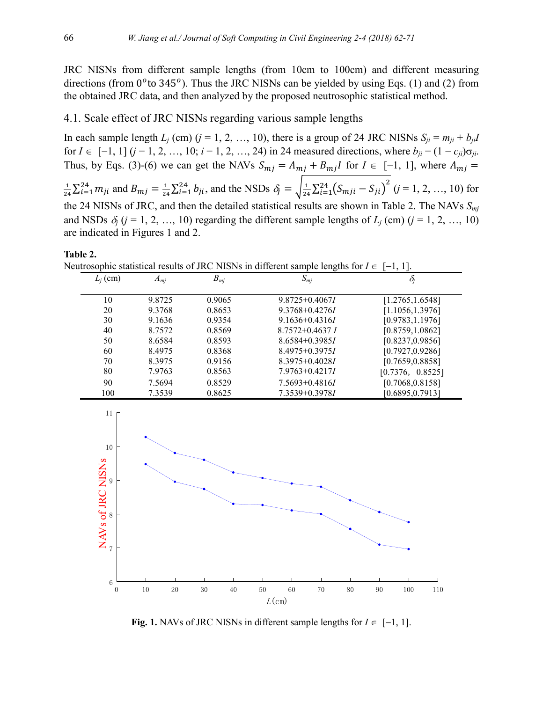JRC NISNs from different sample lengths (from 10cm to 100cm) and different measuring directions (from  $0^{\circ}$  to 345 $^{\circ}$ ). Thus the JRC NISNs can be yielded by using Eqs. (1) and (2) from the obtained JRC data, and then analyzed by the proposed neutrosophic statistical method.

#### 4.1. Scale effect of JRC NISNs regarding various sample lengths

In each sample length  $L_j$  (cm) ( $j = 1, 2, ..., 10$ ), there is a group of 24 JRC NISNs  $S_{ji} = m_{ji} + b_{ji}I$ for  $I \in [-1, 1]$   $(j = 1, 2, ..., 10; i = 1, 2, ..., 24)$  in 24 measured directions, where  $b_{ji} = (1 - c_{ji})\sigma_{ji}$ . Thus, by Eqs. (3)-(6) we can get the NAVs  $S_{mj} = A_{mj} + B_{mj}I$  for  $I \in [-1, 1]$ , where  $A_{mj} =$ 1  $\frac{1}{24}\sum_{i=1}^{24} m_{ji}$  and  $B_{mj} = \frac{1}{24}$  $\frac{1}{24}\sum_{i=1}^{24} b_{ji}$ , and the NSDs  $\delta_j = \sqrt{\frac{1}{24}\sum_{i=1}^{24} (S_{mji} - S_{ji})^2}$  (*j* = 1, 2, …, 10) for the 24 NISNs of JRC, and then the detailed statistical results are shown in Table 2. The NAVs *Smj* and NSDs  $\delta_i$  (*j* = 1, 2, …, 10) regarding the different sample lengths of  $L_j$  (cm) (*j* = 1, 2, …, 10) are indicated in Figures 1 and 2.

**Table 2.**

Neutrosophic statistical results of JRC NISNs in different sample lengths for  $I \in [-1, 1]$ .

|            |          |          | $\tilde{}$          |                  |
|------------|----------|----------|---------------------|------------------|
| $L_i$ (cm) | $A_{mj}$ | $B_{mj}$ | $S_{mj}$            | $O_i$            |
| 10         | 9.8725   | 0.9065   | $9.8725 + 0.4067I$  | [1.2765, 1.6548] |
| 20         | 9.3768   | 0.8653   | $9.3768 + 0.4276I$  | [1.1056, 1.3976] |
| 30         | 9.1636   | 0.9354   | $9.1636 + 0.4316I$  | [0.9783, 1.1976] |
| 40         | 8.7572   | 0.8569   | $8.7572 + 0.4637 I$ | [0.8759, 1.0862] |
| 50         | 8.6584   | 0.8593   | $8.6584 + 0.3985I$  | [0.8237, 0.9856] |
| 60         | 8.4975   | 0.8368   | $8.4975+0.3975I$    | [0.7927, 0.9286] |
| 70         | 8.3975   | 0.9156   | $8.3975 + 0.4028I$  | [0.7659, 0.8858] |
| 80         | 7.9763   | 0.8563   | $7.9763 + 0.4217I$  | [0.7376, 0.8525] |
| 90         | 7.5694   | 0.8529   | $7.5693 + 0.4816I$  | [0.7068, 0.8158] |
| 100        | 7.3539   | 0.8625   | $7.3539 + 0.3978I$  | [0.6895, 0.7913] |



**Fig.** 1. NAVs of JRC NISNs in different sample lengths for  $I \in [-1, 1]$ .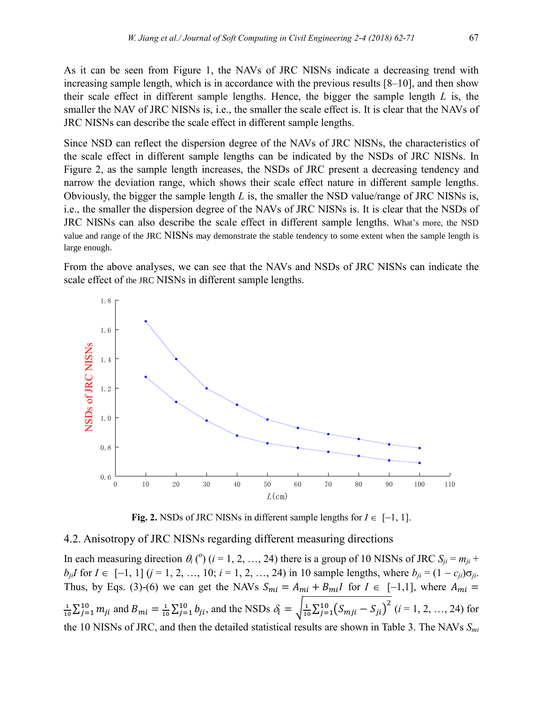Since NSD can reflect the dispersion degree of the NAVs of JRC NISNs, the characteristics of the scale effect in different sample lengths can be indicated by the NSDs of JRC NISNs. In Figure 2, as the sample length increases, the NSDs of JRC present a decreasing tendency and narrow the deviation range, which shows their scale effect nature in different sample lengths. Obviously, the bigger the sample length *L* is, the smaller the NSD value/range of JRC NISNs is, i.e., the smaller the dispersion degree of the NAVs of JRC NISNs is. It is clear that the NSDs of JRC NISNs can also describe the scale effect in different sample lengths. What's more, the NSD value and range of the JRC NISNs may demonstrate the stable tendency to some extent when the sample length is large enough.

From the above analyses, we can see that the NAVs and NSDs of JRC NISNs can indicate the scale effect of the JRC NISNs in different sample lengths.



**Fig. 2.** NSDs of JRC NISNs in different sample lengths for  $I \in [-1, 1]$ .

#### 4.2. Anisotropy of JRC NISNs regarding different measuring directions

In each measuring direction  $\theta_i$  (°) (*i* = 1, 2, …, 24) there is a group of 10 NISNs of JRC  $S_{ji} = m_{ji} +$ *b<sub>ii</sub>* $I$  for  $I \in [-1, 1]$  ( $j = 1, 2, ..., 10$ ;  $i = 1, 2, ..., 24$ ) in 10 sample lengths, where  $b_{ji} = (1 - c_{ji})\sigma_{ji}$ . Thus, by Eqs. (3)-(6) we can get the NAVs  $S_{mi} = A_{mi} + B_{mi}I$  for  $I \in [-1,1]$ , where  $A_{mi} =$ 1  $\frac{1}{10}\sum_{j=1}^{10} m_{ji}$  and  $B_{mi} = \frac{1}{10}$  $\frac{1}{10}\sum_{j=1}^{10} b_{ji}$ , and the NSDs  $\delta_i = \sqrt{\frac{1}{10}\sum_{j=1}^{10} (S_{mji} - S_{ji})^2}$  (*i* = 1, 2, …, 24) for the 10 NISNs of JRC, and then the detailed statistical results are shown in Table 3. The NAVs *Smi*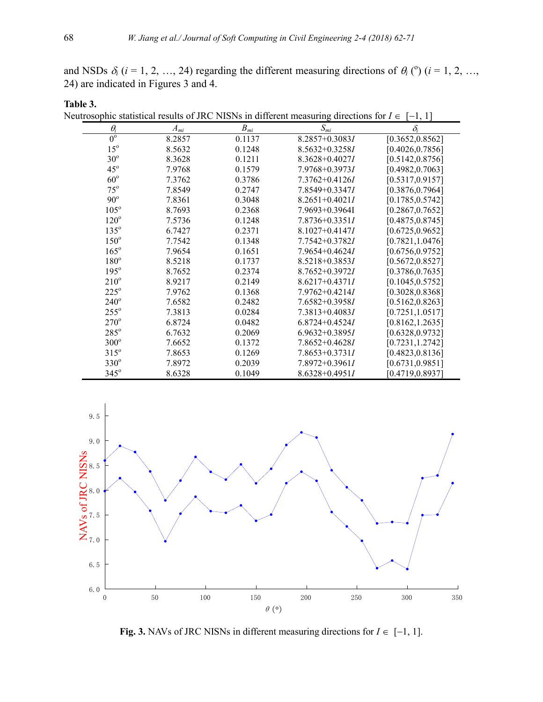and NSDs  $\delta_i$  ( $i = 1, 2, ..., 24$ ) regarding the different measuring directions of  $\theta_i$  ( $\theta$ ) ( $i = 1, 2, ...,$ 24) are indicated in Figures 3 and 4.

| Neutrosophic statistical results of JRC NISNs in different measuring directions for $I \in [-1, 1]$ |          |                      |                    |                  |  |  |
|-----------------------------------------------------------------------------------------------------|----------|----------------------|--------------------|------------------|--|--|
| $\theta_i$                                                                                          | $A_{mi}$ | $B_{\underline{m}i}$ | $S_{mi}$           | $\delta_i$       |  |  |
| $0^{\circ}$                                                                                         | 8.2857   | 0.1137               | 8.2857+0.30831     | [0.3652, 0.8562] |  |  |
| $15^{\circ}$                                                                                        | 8.5632   | 0.1248               | $8.5632 + 0.3258I$ | [0.4026, 0.7856] |  |  |
| $30^\circ$                                                                                          | 8.3628   | 0.1211               | $8.3628 + 0.4027I$ | [0.5142, 0.8756] |  |  |
| $45^\circ$                                                                                          | 7.9768   | 0.1579               | $7.9768 + 0.3973I$ | [0.4982, 0.7063] |  |  |
| $60^{\circ}$                                                                                        | 7.3762   | 0.3786               | $7.3762 + 0.4126I$ | [0.5317, 0.9157] |  |  |
| $75^{\circ}$                                                                                        | 7.8549   | 0.2747               | 7.8549+0.33471     | [0.3876, 0.7964] |  |  |
| $90^\circ$                                                                                          | 7.8361   | 0.3048               | $8.2651 + 0.4021I$ | [0.1785, 0.5742] |  |  |
| $105^\circ$                                                                                         | 8.7693   | 0.2368               | 7.9693+0.3964I     | [0.2867, 0.7652] |  |  |
| $120^\circ$                                                                                         | 7.5736   | 0.1248               | $7.8736 + 0.3351I$ | [0.4875, 0.8745] |  |  |
| $135^\circ$                                                                                         | 6.7427   | 0.2371               | $8.1027 + 0.4147I$ | [0.6725, 0.9652] |  |  |
| $150^\circ$                                                                                         | 7.7542   | 0.1348               | 7.7542+0.37821     | [0.7821, 1.0476] |  |  |
| $165^\circ$                                                                                         | 7.9654   | 0.1651               | $7.9654 + 0.4624I$ | [0.6756, 0.9752] |  |  |
| $180^\circ$                                                                                         | 8.5218   | 0.1737               | $8.5218 + 0.3853I$ | [0.5672, 0.8527] |  |  |
| $195^\circ$                                                                                         | 8.7652   | 0.2374               | $8.7652 + 0.3972I$ | [0.3786, 0.7635] |  |  |
| $210^{\circ}$                                                                                       | 8.9217   | 0.2149               | $8.6217 + 0.4371I$ | [0.1045, 0.5752] |  |  |
| $225^\circ$                                                                                         | 7.9762   | 0.1368               | $7.9762 + 0.4214I$ | [0.3028, 0.8368] |  |  |
| $240^\circ$                                                                                         | 7.6582   | 0.2482               | $7.6582 + 0.3958I$ | [0.5162, 0.8263] |  |  |
| $255^\circ$                                                                                         | 7.3813   | 0.0284               | $7.3813 + 0.4083I$ | [0.7251, 1.0517] |  |  |
| $270^\circ$                                                                                         | 6.8724   | 0.0482               | $6.8724 + 0.4524I$ | [0.8162, 1.2635] |  |  |
| $285^\circ$                                                                                         | 6.7632   | 0.2069               | $6.9632+0.3895I$   | [0.6328, 0.9732] |  |  |
| $300^\circ$                                                                                         | 7.6652   | 0.1372               | $7.8652+0.4628I$   | [0.7231, 1.2742] |  |  |
| $315^\circ$                                                                                         | 7.8653   | 0.1269               | 7.8653+0.37311     | [0.4823, 0.8136] |  |  |
| $330^\circ$                                                                                         | 7.8972   | 0.2039               | 7.8972+0.39611     | [0.6731, 0.9851] |  |  |
| $345^\circ$                                                                                         | 8.6328   | 0.1049               | $8.6328 + 0.4951I$ | [0.4719,0.8937]  |  |  |



**Fig. 3.** NAVs of JRC NISNs in different measuring directions for  $I \in [-1, 1]$ .

**Table 3.**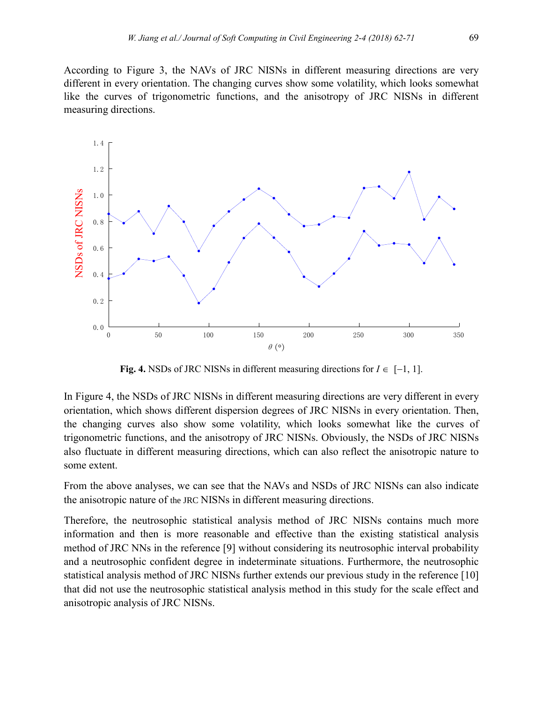According to Figure 3, the NAVs of JRC NISNs in different measuring directions are very different in every orientation. The changing curves show some volatility, which looks somewhat like the curves of trigonometric functions, and the anisotropy of JRC NISNs in different measuring directions.



**Fig. 4.** NSDs of JRC NISNs in different measuring directions for  $I \in [-1, 1]$ .

In Figure 4, the NSDs of JRC NISNs in different measuring directions are very different in every orientation, which shows different dispersion degrees of JRC NISNs in every orientation. Then, the changing curves also show some volatility, which looks somewhat like the curves of trigonometric functions, and the anisotropy of JRC NISNs. Obviously, the NSDs of JRC NISNs also fluctuate in different measuring directions, which can also reflect the anisotropic nature to some extent.

From the above analyses, we can see that the NAVs and NSDs of JRC NISNs can also indicate the anisotropic nature of the JRC NISNs in different measuring directions.

Therefore, the neutrosophic statistical analysis method of JRC NISNs contains much more information and then is more reasonable and effective than the existing statistical analysis method of JRC NNs in the reference [9] without considering its neutrosophic interval probability and a neutrosophic confident degree in indeterminate situations. Furthermore, the neutrosophic statistical analysis method of JRC NISNs further extends our previous study in the reference [10] that did not use the neutrosophic statistical analysis method in this study for the scale effect and anisotropic analysis of JRC NISNs.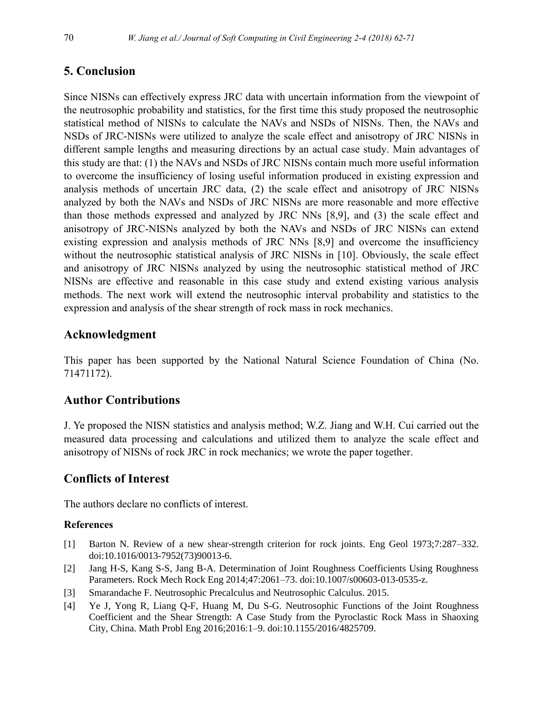## **5. Conclusion**

Since NISNs can effectively express JRC data with uncertain information from the viewpoint of the neutrosophic probability and statistics, for the first time this study proposed the neutrosophic statistical method of NISNs to calculate the NAVs and NSDs of NISNs. Then, the NAVs and NSDs of JRC-NISNs were utilized to analyze the scale effect and anisotropy of JRC NISNs in different sample lengths and measuring directions by an actual case study. Main advantages of this study are that: (1) the NAVs and NSDs of JRC NISNs contain much more useful information to overcome the insufficiency of losing useful information produced in existing expression and analysis methods of uncertain JRC data, (2) the scale effect and anisotropy of JRC NISNs analyzed by both the NAVs and NSDs of JRC NISNs are more reasonable and more effective than those methods expressed and analyzed by JRC NNs [8,9], and (3) the scale effect and anisotropy of JRC-NISNs analyzed by both the NAVs and NSDs of JRC NISNs can extend existing expression and analysis methods of JRC NNs [8,9] and overcome the insufficiency without the neutrosophic statistical analysis of JRC NISNs in [10]. Obviously, the scale effect and anisotropy of JRC NISNs analyzed by using the neutrosophic statistical method of JRC NISNs are effective and reasonable in this case study and extend existing various analysis methods. The next work will extend the neutrosophic interval probability and statistics to the expression and analysis of the shear strength of rock mass in rock mechanics.

## **Acknowledgment**

This paper has been supported by the National Natural Science Foundation of China (No. 71471172).

## **Author Contributions**

J. Ye proposed the NISN statistics and analysis method; W.Z. Jiang and W.H. Cui carried out the measured data processing and calculations and utilized them to analyze the scale effect and anisotropy of NISNs of rock JRC in rock mechanics; we wrote the paper together.

## **Conflicts of Interest**

The authors declare no conflicts of interest.

#### **References**

- [1] Barton N. Review of a new shear-strength criterion for rock joints. Eng Geol 1973;7:287–332. doi:10.1016/0013-7952(73)90013-6.
- [2] Jang H-S, Kang S-S, Jang B-A. Determination of Joint Roughness Coefficients Using Roughness Parameters. Rock Mech Rock Eng 2014;47:2061–73. doi:10.1007/s00603-013-0535-z.
- [3] Smarandache F. Neutrosophic Precalculus and Neutrosophic Calculus. 2015.
- [4] Ye J, Yong R, Liang Q-F, Huang M, Du S-G. Neutrosophic Functions of the Joint Roughness Coefficient and the Shear Strength: A Case Study from the Pyroclastic Rock Mass in Shaoxing City, China. Math Probl Eng 2016;2016:1–9. doi:10.1155/2016/4825709.